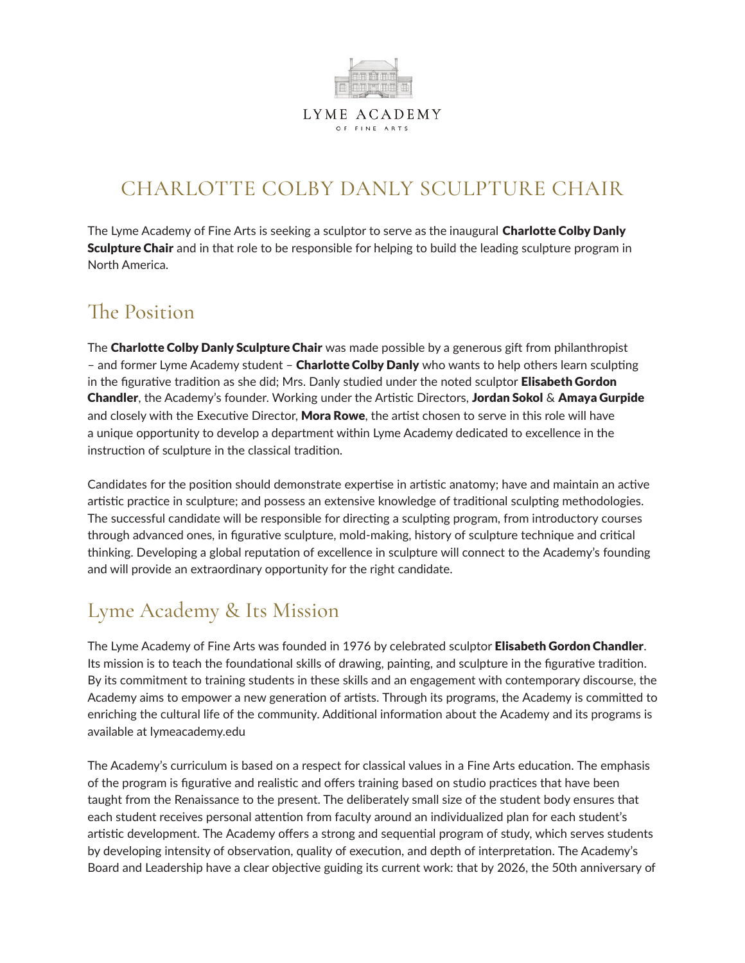

### CHARLOTTE COLBY DANLY SCULPTURE CHAIR

The Lyme Academy of Fine Arts is seeking a sculptor to serve as the inaugural **Charlotte Colby Danly Sculpture Chair** and in that role to be responsible for helping to build the leading sculpture program in North America.

#### The Position

The Charlotte Colby Danly Sculpture Chair was made possible by a generous gift from philanthropist – and former Lyme Academy student – **Charlotte Colby Danly** who wants to help others learn sculpting in the figurative tradition as she did; Mrs. Danly studied under the noted sculptor **Elisabeth Gordon** Chandler, the Academy's founder. Working under the Artistic Directors, Jordan Sokol & Amaya Gurpide and closely with the Executive Director, Mora Rowe, the artist chosen to serve in this role will have a unique opportunity to develop a department within Lyme Academy dedicated to excellence in the instruction of sculpture in the classical tradition.

Candidates for the position should demonstrate expertise in artistic anatomy; have and maintain an active artistic practice in sculpture; and possess an extensive knowledge of traditional sculpting methodologies. The successful candidate will be responsible for directing a sculpting program, from introductory courses through advanced ones, in figurative sculpture, mold-making, history of sculpture technique and critical thinking. Developing a global reputation of excellence in sculpture will connect to the Academy's founding and will provide an extraordinary opportunity for the right candidate.

# Lyme Academy & Its Mission

The Lyme Academy of Fine Arts was founded in 1976 by celebrated sculptor Elisabeth Gordon Chandler. Its mission is to teach the foundational skills of drawing, painting, and sculpture in the figurative tradition. By its commitment to training students in these skills and an engagement with contemporary discourse, the Academy aims to empower a new generation of artists. Through its programs, the Academy is committed to enriching the cultural life of the community. Additional information about the Academy and its programs is available at lymeacademy.edu

The Academy's curriculum is based on a respect for classical values in a Fine Arts education. The emphasis of the program is figurative and realistic and offers training based on studio practices that have been taught from the Renaissance to the present. The deliberately small size of the student body ensures that each student receives personal attention from faculty around an individualized plan for each student's artistic development. The Academy offers a strong and sequential program of study, which serves students by developing intensity of observation, quality of execution, and depth of interpretation. The Academy's Board and Leadership have a clear objective guiding its current work: that by 2026, the 50th anniversary of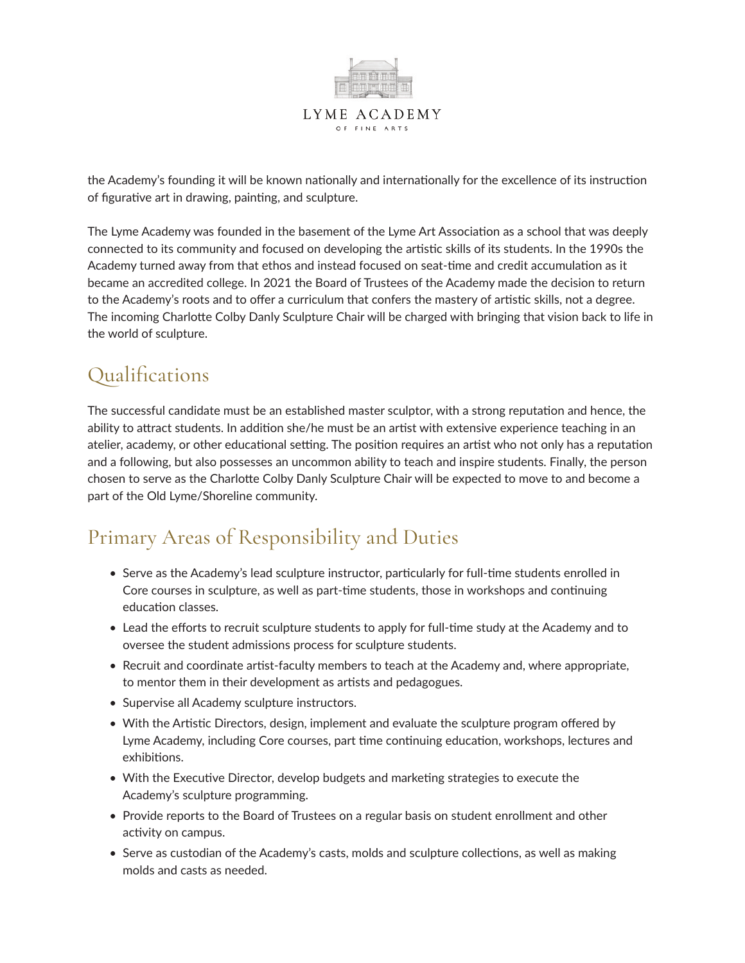

the Academy's founding it will be known nationally and internationally for the excellence of its instruction of figurative art in drawing, painting, and sculpture.

The Lyme Academy was founded in the basement of the Lyme Art Association as a school that was deeply connected to its community and focused on developing the artistic skills of its students. In the 1990s the Academy turned away from that ethos and instead focused on seat-time and credit accumulation as it became an accredited college. In 2021 the Board of Trustees of the Academy made the decision to return to the Academy's roots and to offer a curriculum that confers the mastery of artistic skills, not a degree. The incoming Charlotte Colby Danly Sculpture Chair will be charged with bringing that vision back to life in the world of sculpture.

### Qualifications

The successful candidate must be an established master sculptor, with a strong reputation and hence, the ability to attract students. In addition she/he must be an artist with extensive experience teaching in an atelier, academy, or other educational setting. The position requires an artist who not only has a reputation and a following, but also possesses an uncommon ability to teach and inspire students. Finally, the person chosen to serve as the Charlotte Colby Danly Sculpture Chair will be expected to move to and become a part of the Old Lyme/Shoreline community.

# Primary Areas of Responsibility and Duties

- Serve as the Academy's lead sculpture instructor, particularly for full-time students enrolled in Core courses in sculpture, as well as part-time students, those in workshops and continuing education classes.
- Lead the efforts to recruit sculpture students to apply for full-time study at the Academy and to oversee the student admissions process for sculpture students.
- Recruit and coordinate artist-faculty members to teach at the Academy and, where appropriate, to mentor them in their development as artists and pedagogues.
- Supervise all Academy sculpture instructors.
- With the Artistic Directors, design, implement and evaluate the sculpture program offered by Lyme Academy, including Core courses, part time continuing education, workshops, lectures and exhibitions.
- With the Executive Director, develop budgets and marketing strategies to execute the Academy's sculpture programming.
- Provide reports to the Board of Trustees on a regular basis on student enrollment and other activity on campus.
- Serve as custodian of the Academy's casts, molds and sculpture collections, as well as making molds and casts as needed.